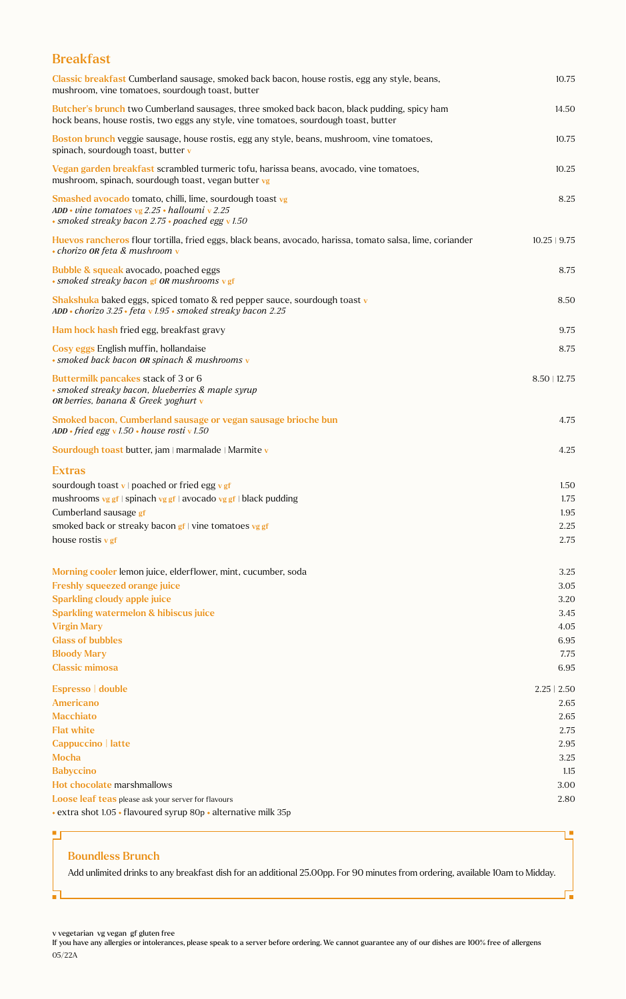### Breakfast

| Classic breakfast Cumberland sausage, smoked back bacon, house rostis, egg any style, beans,<br>mushroom, vine tomatoes, sourdough toast, butter                                    | 10.75             |
|-------------------------------------------------------------------------------------------------------------------------------------------------------------------------------------|-------------------|
| Butcher's brunch two Cumberland sausages, three smoked back bacon, black pudding, spicy ham<br>hock beans, house rostis, two eggs any style, vine tomatoes, sourdough toast, butter | 14.50             |
| Boston brunch veggie sausage, house rostis, egg any style, beans, mushroom, vine tomatoes,<br>spinach, sourdough toast, butter v                                                    | 10.75             |
| Vegan garden breakfast scrambled turmeric tofu, harissa beans, avocado, vine tomatoes,<br>mushroom, spinach, sourdough toast, vegan butter vg                                       | 10.25             |
| Smashed avocado tomato, chilli, lime, sourdough toast vg<br>ADD • vine tomatoes vg $2.25$ • halloumi v 2.25<br>· smoked streaky bacon 2.75 · poached egg v 1.50                     | 8.25              |
| Huevos rancheros flour tortilla, fried eggs, black beans, avocado, harissa, tomato salsa, lime, coriander<br>• chorizo OR feta & mushroom v                                         | $10.25 \mid 9.75$ |
| Bubble & squeak avocado, poached eggs<br>• smoked streaky bacon gf OR mushrooms v gf                                                                                                | 8.75              |
| Shakshuka baked eggs, spiced tomato & red pepper sauce, sourdough toast v<br>ADD • chorizo $3.25$ • feta v $1.95$ • smoked streaky bacon 2.25                                       | 8.50              |
| Ham hock hash fried egg, breakfast gravy                                                                                                                                            | 9.75              |
| Cosy eggs English muffin, hollandaise<br>· smoked back bacon OR spinach & mushrooms v                                                                                               | 8.75              |
| Buttermilk pancakes stack of 3 or 6<br>• smoked streaky bacon, blueberries & maple syrup<br>OR berries, banana & Greek yoghurt v                                                    | $8.50$   12.75    |
| Smoked bacon, Cumberland sausage or vegan sausage brioche bun<br>ADD • fried egg v 1.50 • house rosti v 1.50                                                                        | 4.75              |
| Sourdough toast butter, jam   marmalade   Marmite v                                                                                                                                 | 4.25              |
| <b>Extras</b>                                                                                                                                                                       |                   |
| sourdough toast v   poached or fried egg v gf                                                                                                                                       | 1.50              |
| mushrooms vg gf   spinach vg gf   avocado vg gf   black pudding                                                                                                                     | 1.75              |
| Cumberland sausage gf                                                                                                                                                               | 1.95              |
| smoked back or streaky bacon $gf$ vine tomatoes vg gf                                                                                                                               | 2.25              |
| house rostis $v$ gf                                                                                                                                                                 | 2.75              |
|                                                                                                                                                                                     |                   |
| Morning cooler lemon juice, elderflower, mint, cucumber, soda                                                                                                                       | 3.25              |
| <b>Freshly squeezed orange juice</b>                                                                                                                                                | 3.05              |
| <b>Sparkling cloudy apple juice</b>                                                                                                                                                 | 3.20              |
| <b>Sparkling watermelon &amp; hibiscus juice</b>                                                                                                                                    | 3.45              |
| <b>Virgin Mary</b>                                                                                                                                                                  | 4.05              |
| <b>Glass of bubbles</b>                                                                                                                                                             | 6.95              |
| <b>Bloody Mary</b>                                                                                                                                                                  | 7.75              |
| <b>Classic mimosa</b>                                                                                                                                                               | 6.95              |
| Espresso   double                                                                                                                                                                   | $2.25 \mid 2.50$  |
| <b>Americano</b>                                                                                                                                                                    | 2.65              |
| <b>Macchiato</b>                                                                                                                                                                    | 2.65              |
| <b>Flat white</b>                                                                                                                                                                   | 2.75              |
| Cappuccino   latte                                                                                                                                                                  | 2.95              |
| <b>Mocha</b>                                                                                                                                                                        | 3.25              |
| <b>Babyccino</b>                                                                                                                                                                    | 1.15              |
| Hot chocolate marshmallows                                                                                                                                                          | 3.00              |
| Loose leaf teas please ask your server for flavours                                                                                                                                 | 2.80              |
| • extra shot 1.05 • flavoured syrup 80p • alternative milk 35p                                                                                                                      |                   |

#### Boundless Brunch

발

Ē,

Add unlimited drinks to any breakfast dish for an additional 25.00pp. For 90 minutes from ordering, available 10am to Midday.

г

Ī.

v vegetarian vg vegan gf gluten free

If you have any allergies or intolerances, please speak to a server before ordering. We cannot guarantee any of our dishes are 100% free of allergens 05/22A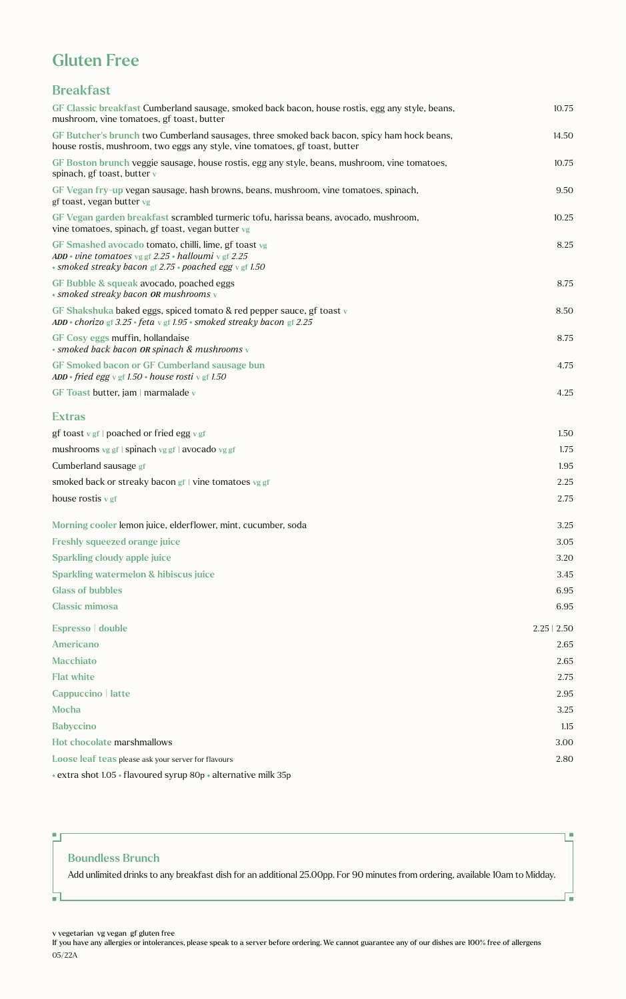# Gluten Free

## Breakfast

| GF Classic breakfast Cumberland sausage, smoked back bacon, house rostis, egg any style, beans,<br>mushroom, vine tomatoes, gf toast, butter                               | 10.75            |
|----------------------------------------------------------------------------------------------------------------------------------------------------------------------------|------------------|
| GF Butcher's brunch two Cumberland sausages, three smoked back bacon, spicy ham hock beans,<br>house rostis, mushroom, two eggs any style, vine tomatoes, gf toast, butter | 14.50            |
| GF Boston brunch veggie sausage, house rostis, egg any style, beans, mushroom, vine tomatoes,<br>spinach, gf toast, butter v                                               | 10.75            |
| GF Vegan fry-up vegan sausage, hash browns, beans, mushroom, vine tomatoes, spinach,<br>gf toast, vegan butter vg                                                          | 9.50             |
| GF Vegan garden breakfast scrambled turmeric tofu, harissa beans, avocado, mushroom,<br>vine tomatoes, spinach, gf toast, vegan butter vg                                  | 10.25            |
| GF Smashed avocado tomato, chilli, lime, gf toast vg<br>ADD • vine tomatoes vg gf 2.25 • halloumi v gf 2.25<br>• smoked streaky bacon gf 2.75 • poached egg v gf 1.50      | 8.25             |
| GF Bubble & squeak avocado, poached eggs<br>• smoked streaky bacon OR mushrooms v                                                                                          | 8.75             |
| GF Shakshuka baked eggs, spiced tomato & red pepper sauce, gf toast v<br>ADD • chorizo gf 3.25 • feta v gf 1.95 • smoked streaky bacon gf 2.25                             | 8.50             |
| GF Cosy eggs muffin, hollandaise<br>* smoked back bacon OR spinach & mushrooms v                                                                                           | 8.75             |
| GF Smoked bacon or GF Cumberland sausage bun<br>$ADD * friend egg \vee gf 1.50 * house rosti \vee gf 1.50$                                                                 | 4.75             |
| GF Toast butter, jam   marmalade v                                                                                                                                         | 4.25             |
| <b>Extras</b>                                                                                                                                                              |                  |
| gf toast v gf   poached or fried egg v gf                                                                                                                                  | 1.50             |
| mushrooms vg gf   spinach vg gf   avocado vg gf                                                                                                                            | 1.75             |
| Cumberland sausage gf                                                                                                                                                      | 1.95             |
| smoked back or streaky bacon gf   vine tomatoes vg gf                                                                                                                      | 2.25             |
| house rostis $v$ gf                                                                                                                                                        | 2.75             |
| Morning cooler lemon juice, elderflower, mint, cucumber, soda                                                                                                              | 3.25             |
| <b>Freshly squeezed orange juice</b>                                                                                                                                       | 3.05             |
| <b>Sparkling cloudy apple juice</b>                                                                                                                                        | 3.20             |
| <b>Sparkling watermelon &amp; hibiscus juice</b>                                                                                                                           | 3.45             |
| <b>Glass of bubbles</b>                                                                                                                                                    | 6.95             |
| <b>Classic mimosa</b>                                                                                                                                                      | 6.95             |
| Espresso   double                                                                                                                                                          | $2.25 \mid 2.50$ |
| <b>Americano</b>                                                                                                                                                           | 2.65             |
| <b>Macchiato</b>                                                                                                                                                           | 2.65             |
| <b>Flat white</b>                                                                                                                                                          | 2.75             |
| Cappuccino   latte                                                                                                                                                         | 2.95             |
| <b>Mocha</b>                                                                                                                                                               | 3.25             |
| <b>Babyccino</b>                                                                                                                                                           | 1.15             |
| Hot chocolate marshmallows                                                                                                                                                 | 3.00             |
| Loose leaf teas please ask your server for flavours                                                                                                                        | 2.80             |
| • extra shot 1.05 • flavoured syrup 80p • alternative milk 35p                                                                                                             |                  |

#### Boundless Brunch

 $\blacksquare$ 

 $\blacksquare$ 

Add unlimited drinks to any breakfast dish for an additional 25.00pp. For 90 minutes from ordering, available 10am to Midday.

I.

Γ,

v vegetarian vg vegan gf gluten free

If you have any allergies or intolerances, please speak to a server before ordering. We cannot guarantee any of our dishes are 100% free of allergens 05/22A